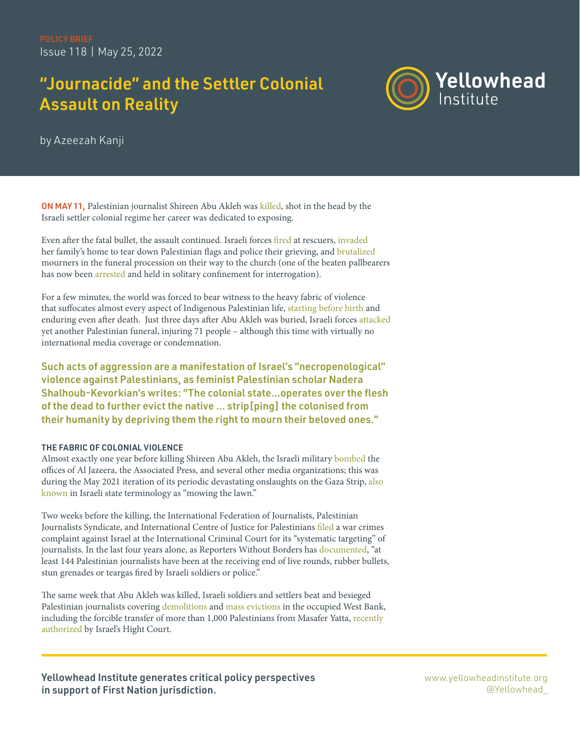# "Journacide" and the Settler Colonial Assault on Reality



by Azeezah Kanji

ON MAY 11, Palestinian journalist Shireen Abu Akleh was [killed,](https://www.aljazeera.com/news/2022/5/11/veteran-al-jazeera-journalist-killed-by-israeli-forces-live-news) shot in the head by the Israeli settler colonial regime her career was dedicated to exposing.

Even after the fatal bullet, the assault continued. Israeli forces [fired](https://english.alaraby.co.uk/news/video-shows-israeli-forces-shooting-abu-akleh-rescuers) at rescuers, [invaded](https://www.aljazeera.com/news/2022/5/13/why-is-israel-afraid-of-the-palestinian-flag) her family's home to tear down Palestinian flags and police their grieving, and [brutalized](https://apnews.com/article/shireen-abu-akleh-journalist-funeral-west-bank-bb71e2ec64dd034066bc6df4a9aa2fb3) mourners in the funeral procession on their way to the church (one of the beaten pallbearers has now been [arrested](https://www.aljazeera.com/news/2022/5/18/abu-akleh-pallbearer-arrested-days-after-israelis-attack-funeral) and held in solitary confinement for interrogation).

For a few minutes, the world was forced to bear witness to the heavy fabric of violence that suffocates almost every aspect of Indigenous Palestinian life, [starting](https://www.thenewhumanitarian.org/fr/node/228642) [before](https://www.middleeasteye.net/news/israel-palestine-mother-fear-birth-prison-alone-handcuffed) [birth](https://www.cambridge.org/core/journals/international-journal-of-middle-east-studies/article/abs/every-sperm-is-sacred-palestinian-prisoners-smuggled-semen-and-derridas-prophecy/F9576CB19227882D3C9DFAEDE933A6E1) and enduring even after death. Just three days after Abu Akleh was buried, Israeli forces [attacked](https://mondoweiss.net/2022/05/israeli-police-attack-another-palestinian-funeral-in-jerusalem/) yet another Palestinian funeral, injuring 71 people – although this time with virtually no international media coverage or condemnation.

Such acts of aggression are a manifestation of Israel's "necropenological" violence against Palestinians, as feminist Palestinian scholar Nadera Shalhoub-Kevorkian's [writes](https://www.tandfonline.com/doi/abs/10.1080/1070289X.2020.1737403): "The colonial state…operates over the flesh of the dead to further evict the native … strip[ping] the colonised from their humanity by depriving them the right to mourn their beloved ones."

# THE FABRIC OF COLONIAL VIOLENCE

Almost exactly one year before killing Shireen Abu Akleh, the Israeli military [bombed](https://www.reuters.com/world/middle-east/gaza-tower-housing-ap-al-jazeera-collapses-after-missile-strike-witness-2021-05-15/) the offices of Al Jazeera, the Associated Press, and several other media organizations; this was during the May 2021 iteration of its periodic devastating onslaughts on the Gaza Strip, also [known](https://merip.org/2012/12/israels-operation-mow-the-lawn/) in Israeli state terminology as "mowing the lawn."

Two weeks before the killing, the International Federation of Journalists, Palestinian Journalists Syndicate, and International Centre of Justice for Palestinians [filed](https://www.middleeasteye.net/news/israel-palestine-icc-complaint-filed-systematic-targeting-journalists) a war crimes complaint against Israel at the International Criminal Court for its "systematic targeting" of journalists. In the last four years alone, as Reporters Without Borders has [documented](https://rsf.org/en/israel-palestine-four-years-violence-against-palestinian-journalists-covering-march-return-protests), "at least 144 Palestinian journalists have been at the receiving end of live rounds, rubber bullets, stun grenades or teargas fired by Israeli soldiers or police."

The same week that Abu Akleh was killed, Israeli soldiers and settlers beat and besieged Palestinian journalists covering [demolitions](https://www.haaretz.com/israel-news/.premium-israeli-soldiers-beat-palestinian-journalist-documenting-west-bank-demolition-1.10788144) and [mass evictions](https://english.wafa.ps/Pages/Details/129198) in the occupied West Bank, including the forcible transfer of more than 1,000 Palestinians from Masafer Yatta, recently [authorized](https://www.ohchr.org/en/press-releases/2022/05/un-experts-alarmed-israel-high-court-ruling-masafer-yatta-and-risk-imminent) by Israel's Hight Court.

Yellowhead Institute generates critical policy perspectives in support of First Nation jurisdiction.

[www.yellowheadinstitute.org](https://www.theglobeandmail.com/opinion/article-the-mmiwg-inquiry-cannot-be-allowed-to-fail/) [@Yellowhead\\_](http://www.mmiwg-ffada.ca/wp-content/uploads/2018/03/ni-mmiwg-interim-report.pdf)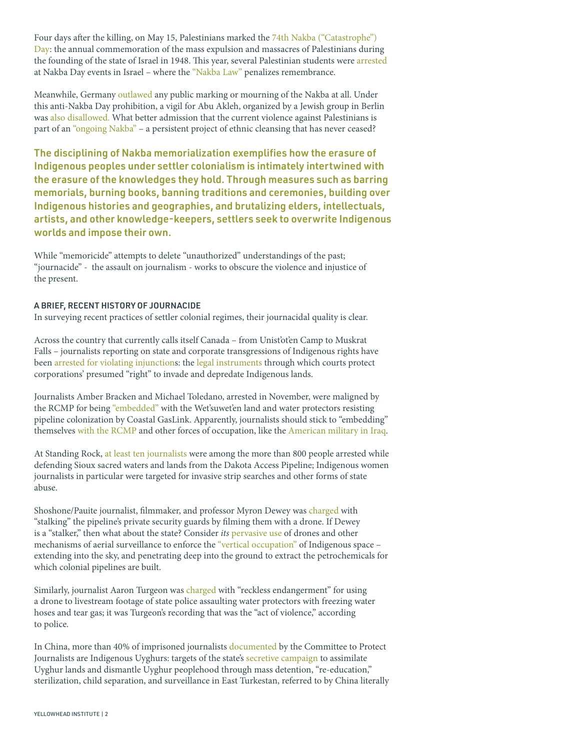Four days after the killing, on May 15, Palestinians marked the [74th](https://www.aljazeera.com/gallery/2022/5/15/photos-palestinians-commemorate-74th-nakba-day) [Nakba \("Catastrophe"\)](https://www.aljazeera.com/gallery/2022/5/15/photos-palestinians-commemorate-74th-nakba-day)  [Day:](https://www.aljazeera.com/gallery/2022/5/15/photos-palestinians-commemorate-74th-nakba-day) the annual commemoration of the mass expulsion and massacres of Palestinians during the founding of the state of Israel in 1948. This year, several Palestinian students were [arrested](https://www.haaretz.com/israel-news/.premium-amid-tensions-israel-police-bolsters-forces-as-palestinians-mark-nakba-1.10799648) at Nakba Day events in Israel – where the ["Nakba Law"](https://www.adalah.org/en/law/view/496) penalizes remembrance.

Meanwhile, Germany [outlawed](https://www.hrw.org/news/2022/05/20/berlin-bans-nakba-day-demonstrations) any public marking or mourning of the Nakba at all. Under this anti-Nakba Day prohibition, a vigil for Abu Akleh, organized by a Jewish group in Berlin was [also disallowed.](https://www.aljazeera.com/news/2022/5/13/germany-bans-vigil-in-memory-of-journalist-killed-by-israel) What better admission that the current violence against Palestinians is part of an ["ongoing Nakba"](https://al-shabaka.org/labs/ongoing-nakba-sheikh-jarrah-gaza-and-historic-palestine/) – a persistent project of ethnic cleansing that has never ceased?

The disciplining of Nakba memorialization exemplifies how the erasure of Indigenous peoples under settler colonialism is intimately intertwined with the erasure of the knowledges they hold. Through measures such as barring memorials, [burning books](https://www.niwrc.org/sites/default/files/images/resource/2%20The%20Structure%20of%20Knowledge%20in%20Westernized%20Universities_%20Epistemic.pdf), [banning traditions](https://www.aljazeera.com/news/2018/1/17/china-bans-muslim-children-from-quran-classes) and [ceremonies,](https://ualbertalaw.typepad.com/faculty/2018/11/colonialism-and-the-potlatch-ban.html) [building over](https://springmag.ca/the-role-of-the-jnf-in-greenwashing-israeli-settler-colonialism)  Indigenous histories and geographies, and [brutalizing elders,](https://www.cbc.ca/news/canada/newfoundland-labrador/nunatukavut-elders-arrested-at-muskrat-site-1.1164329) [intellectuals,](https://xinjiang.sppga.ubc.ca/timelines/arrests/) [artists,](https://www.outlookindia.com/website/story/india-news-a-day-after-pro-palestine-graffiti-cuffs-on-kashmir-artist/382873) and other knowledge-keepers, settlers seek to overwrite Indigenous worlds and impose their own.

While "memoricide" attempts to delete "unauthorized" understandings of the past; "journacide" - the assault on journalism - works to obscure the violence and injustice of the present.

## A BRIEF, RECENT HISTORY OF JOURNACIDE

In surveying recent practices of settler colonial regimes, their journacidal quality is clear.

Across the country that currently calls itself Canada – from Unist'ot'en Camp to Muskrat Falls – journalists reporting on state and corporate transgressions of Indigenous rights have been [arrested for violating injunctions](https://www.nytimes.com/2020/09/21/world/canada/indigenous-journalism-protests.html): the [legal instruments](https://yellowheadinstitute.org/resources/weaponizing-injunctions-how-canada-criminalizes-indigenous-land-defense/) through which courts protect corporations' presumed "right" to invade and depredate Indigenous lands.

Journalists Amber Bracken and Michael Toledano, arrested in November, were maligned by the RCMP for being ["embedded" w](https://thenarwhal.ca/opinion-wetsuweten-journalism/)ith the Wet'suwet'en land and water protectors resisting pipeline colonization by Coastal GasLink. Apparently, journalists should stick to "embedding" themselves [with the RCMP](https://www.theglobeandmail.com/news/national/in-pr-move-rcmp-embed-with-the-media/article4101011/) and other forces of occupation, like the [American military in Iraq](https://news.arizona.edu/story/embedded-journalists-report-their-experiences).

At Standing Rock, [at least ten journalists](https://cpj.org/2017/02/journalists-covering-standing-rock-face-charges-as/) were among the more than 800 people arrested while defending Sioux sacred waters and lands from the Dakota Access Pipeline; Indigenous women journalists in particular were targeted for invasive strip searches and other forms of state abuse.

Shoshone/Pauite journalist, filmmaker, and professor Myron Dewey was [charged](https://cpj.org/wp-content/uploads/2017/02/SRock-NEW.pdf) with "stalking" the pipeline's private security guards by filming them with a drone. If Dewey is a "stalker," then what about the state? Consider its [pervasive](https://theintercept.com/2017/09/29/standing-rock-dakota-access-pipeline-dapl-no-fly-zone-drones-tigerswan/) [use](mailto:https://www.aclu.org/blog/free-speech/rights-protesters/surveillance-state-descends-dakota-access-pipeline-spirit-camp?subject=) of drones and other mechanisms of aerial surveillance to enforce the ["vertical occupation"](https://www.plannersnetwork.org/2009/01/palestines-problems-checkpoints-walls-gates-and-urban-planners/) of Indigenous space – extending into the sky, and penetrating deep into the ground to extract the petrochemicals for which colonial pipelines are built.

Similarly, journalist Aaron Turgeon was [charged](https://www.vice.com/en/article/zmbdy5/drone-journalist-faces-7-years-in-prison-for-filming-north-dakota-access-pipeline-protests) with "reckless endangerment" for using a drone to livestream footage of state police assaulting water protectors with freezing water hoses and tear gas; it was Turgeon's recording that was the "act of violence," according to police.

In China, more than 40% of imprisoned journalists [documented](https://cpj.org/data/imprisoned/2021/?status=Imprisoned&cc_fips%5B%5D=CH&start_year=2021&end_year=2021&group_by=location) by the Committee to Protect Journalists are Indigenous Uyghurs: targets of the state's [secretive campaign](https://www.hrw.org/report/2021/04/19/break-their-lineage-break-their-roots/chinas-crimes-against-humanity-targeting) to assimilate Uyghur lands and dismantle Uyghur peoplehood through mass detention, "re-education," sterilization, child separation, and surveillance in East Turkestan, referred to by China literally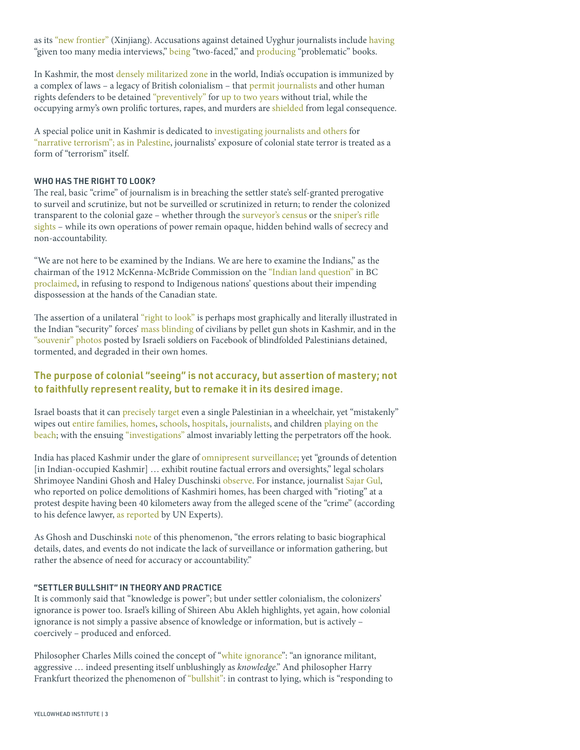as its ["new frontier"](mailto:https://www.cgtn.com/special/79517a4e304a336277566d55.html?subject=) (Xinjiang). Accusations against detained Uyghur journalists include [having](mailto:https://www.amnesty.org/en/documents/asa17/060/2009/en/?subject=) "given too many media interviews," [being](mailto:https://cpj.org/data/people/ilham-weli/?subject=) "two-faced," and [producing](mailto:https://cpj.org/data/people/ablajan-siyit/?subject=) "problematic" books.

In Kashmir, the mos[t densely militarized zone i](mailto:https://theconversation.com/in-kashmir-military-lockdown-and-pandemic-combined-are-one-giant-deadly-threat-142252?subject=)n the world, India's occupation is immunized by a complex of laws – a legacy of British colonialism – that [permit journalists](mailto:https://www.hrw.org/news/2022/02/08/india-kashmiri-journalist-held-under-abusive-laws?subject=) and other human rights defenders to be detained ["preventively"](mailto:https://cpj.org/2022/04/kashmiri-journalist-aasif-sultan-granted-bail-then-re-arrested-under-preventative-detention-law/?subject=) for [up to two years w](mailto:https://thewire.in/government/jk-public-safety-act-shall-be-deemed-to-be-an-act-passed-by-parliament-admin-tells-hc?subject=)ithout trial, while the occupying army's own prolific tortures, rapes, and murders are [shielded](mailto:https://www.amnesty.org/en/wp-content/uploads/2021/08/asa200252005en.pdf?subject=) from legal consequence.

A special police unit in Kashmir is dedicated to [investigating journalists and others](mailto:https://thewire.in/media/summoned-raided-censored-crackdown-on-journalists-is-the-new-normal-in-kashmir?subject=) for ["narrative terrorism";](mailto:https://article-14.com/post/mainstream-media-caged-j-k-govt-turns-the-heat-on-freelancers--6177671160af0?subject=) [as in Palestine,](mailto:https://theintercept.com/2022/04/05/israel-palestine-journalists-incitement/?subject=) journalists' exposure of colonial state terror is treated as a form of "terrorism" itself.

#### WHO HAS THE RIGHT TO LOOK?

The real, basic "crime" of journalism is in breaching the settler state's self-granted prerogative to surveil and scrutinize, but not be surveilled or scrutinized in return; to render the colonized transparent to the colonial gaze – whether through th[e surveyor's census](https://www.al-monitor.com/originals/2013/02/palestinians-denationalized-israeli-census.html) or the sniper's rifle [sights](https://www.theguardian.com/world/2013/feb/18/israeli-soldier-posts-instagram-palestinian) – while its own operations of power remain opaque, hidden behind walls of secrecy and non-accountability.

"We are not here to be examined by the Indians. We are here to examine the Indians," as the chairman of the 1912 McKenna-McBride Commission on the ["Indian land question"](https://publications.gc.ca/collections/collection_2009/indianclaims/RC31-78-1997E.pdf) in BC [proclaimed](https://books.google.ca/books?id=dR0if7gCp6YC&pg=PA182&lpg=PA182&dq=%E2%80%9CWe+are+not+here+to+be+examined+by+the+Indians.+We+are+here+to+examine+the+Indians%22&source=bl&ots=8SezJMGNAw&sig=ACfU3U21d_M-_4Kh6iAPKp3oSVogQxwzdA&hl=en&sa=X&ved=2ahUKEwjQ1uP8ve73AhUqjIkEHXZfCHgQ6AF6BAgCEAM#v=onepage&q=%E2%80%9CWe%20are%20not%20here%20to%20be%20examined%20by%20the%20Indians.%20We%20are%20here%20to%20examine%20the%20Indians%22&f=false), in refusing to respond to Indigenous nations' questions about their impending dispossession at the hands of the Canadian state.

The assertion of a unilateral ["right to look"](https://www.dukeupress.edu/the-right-to-look) is perhaps most graphically and literally illustrated in the Indian "security" forces' [mass blinding o](https://www.theguardian.com/world/2016/nov/08/india-crackdown-in-kashmir-is-this-worlds-first-mass-blinding)f civilians by pellet gun shots in Kashmir, and in the ["souvenir" photos p](https://www.theguardian.com/world/2016/nov/08/india-crackdown-in-kashmir-is-this-worlds-first-mass-blinding)osted by Israeli soldiers on Facebook of blindfolded Palestinians detained, tormented, and degraded in their own homes.

# The purpose of colonial "seeing" is not accuracy, but assertion of mastery; not to faithfully represent reality, but to remake it in its desired image.

Israel boasts that it can [precisely target e](https://books.google.ca/books?id=zwTHBQAAQBAJ&pg=PT265&lpg=PT265&dq=Ben-Israel+(2007)+lends+the+principle+vivid+substance+in+describing+Israel%E2%80%99s+shifting+application+of+%E2%80%9Cprecision%E2%80%9D+bombing:+The+target+may+be+a+tank+or+a+wheelchair+%E2%80%93&source=bl&ots=EYr0UJClei&sig=ACfU3U1BOB7VnNv-UPV00DiKuYgbFD1TsQ&hl=en&sa=X&ved=2ahUKEwj9tbG5v-73AhVdj4kEHeGtBJUQ6AF6BAgCEAM#v=onepage&q=Ben-Israel%20(2007)%20lends%20the%20principle%20vivid%20substance%20in%20describing%20Israel%E2%80%99s%20shifting%20application%20of%20%E2%80%9Cprecision%E2%80%9D%20bombing%3A%20The%20target%20may%20be%20a%20tank%20or%20a%20wheelchair%20%E2%80)ven a single Palestinian in a wheelchair, yet "mistakenly" wipes out [entire families,](https://www.haaretz.com/israel-news/gaza-israel-wiping-entire-palestinian-families-hamas-1.9820005) [homes](https://www.haaretz.com/middle-east-news/palestinians/.premium-israeli-army-admits-strike-that-killed-palestinian-family-intended-for-empty-house-1.8129435), [schools](https://www.hrw.org/news/2014/09/11/israel-depth-look-gaza-school-attacks), [hospitals](https://www.middleeasteye.net/news/israel-palestine-bennett-shifa-hospital-hamas-pakistan), [journalists,](https://www.reuters.com/article/us-palestinians-israel-journalist-idUSLD61073920080813) and children playing on the [beach](https://www.timesofisrael.com/israeli-court-rejects-appeal-in-deadly-2014-gaza-beach-airstrike/); with the ensuing ["investigations"](https://www.haaretz.com/israel-news/.premium.MAGAZINE-here-s-happens-with-idf-investigations-into-deaths-of-innocent-palestinians-1.9202606) almost invariably letting the perpetrators off the hook.

India has placed Kashmir under the glare of [omnipresent surveillance;](https://www.opendemocracy.net/en/masked-soldiers-barred-mosques-and-constant-surveillance-inside-kashmir-under-lockdown/) yet "grounds of detention [in Indian-occupied Kashmir] … exhibit routine factual errors and oversights," legal scholars Shrimoyee Nandini Ghosh and Haley Duschinski [observe](https://journals.sagepub.com/doi/abs/10.1177/0308275X20929393). For instance, journalist [Sajar Gul,](https://spcommreports.ohchr.org/TMResultsBase/DownLoadPublicCommunicationFile?gId=26390) who reported on police demolitions of Kashmiri homes, has been charged with "rioting" at a protest despite having been 40 kilometers away from the alleged scene of the "crime" (according to his defence lawyer, [as reported](https://spcommreports.ohchr.org/TMResultsBase/DownLoadPublicCommunicationFile?gId=26390) by UN Experts).

As Ghosh and Duschinski [note](https://journals.sagepub.com/doi/abs/10.1177/0308275X20929393) of this phenomenon, "the errors relating to basic biographical details, dates, and events do not indicate the lack of surveillance or information gathering, but rather the absence of need for accuracy or accountability."

#### "SETTLER BULLSHIT" IN THEORY AND PRACTICE

It is commonly said that "knowledge is power"; but under settler colonialism, the colonizers' ignorance is power too. Israel's killing of Shireen Abu Akleh highlights, yet again, how colonial ignorance is not simply a passive absence of knowledge or information, but is actively – coercively – produced and enforced.

Philosopher Charles Mills coined the concept of "[white ignorance](https://d1wqtxts1xzle7.cloudfront.net/56178359/Race_and_Epistemologies_of_Ignorance_Book-with-cover-page-v2.pdf?Expires=1652727056&Signature=hC5POYQ6K~mBqiDEv4cBgLG0zHRQXmP4zfZnn0jTItrZgiOzOUTrPw-33VSJZPWToDAQT1yc9-3ZOlBF-rvXjvcok2sZcHBjWkVuJsqQnltl7VVA7O4IvHyhWIn2JjFztjc0Mr1o6sWiGPv5T9J3TXaiAM9lcCqbFLqMCznpE3wyvEz2liN0NzEpXLybQvpd~32GjKhGkpFvbQobXee8~5CLRfJUSltqPcBjFlDhQGjBcZ8QWDP~T3oDSK1EHsW~rxWm9W-R94Ch58bmkV51SpdHcctz3qCz-2-EniqcrErG4bGZXnd5wwkHKKaWRuY8j8YkTx36evPqu4WNWfzzRg__&Key-Pair-Id=APKAJLOHF5GGSLRBV4ZA#page=20)": "an ignorance militant, aggressive ... indeed presenting itself unblushingly as knowledge." And philosopher Harry Frankfurt theorized the phenomenon of ["bullshit":](http://www2.csudh.edu/ccauthen/576f12/frankfurt__harry_-_on_bullshit.pdf) in contrast to lying, which is "responding to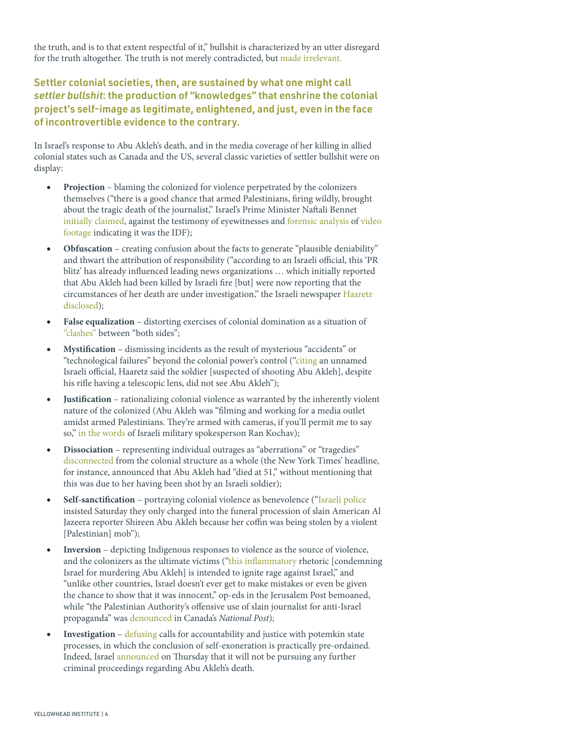the truth, and is to that extent respectful of it," bullshit is characterized by an utter disregard for the truth altogether. The truth is not merely contradicted, but [made irrelevant.](https://books.google.ca/books?id=bFpzNItiO7oC&source=gbs_navlinks_s)

Settler colonial societies, then, are sustained by what one might call *settler bullshit*: the production of "knowledges" that enshrine the colonial project's self-image as legitimate, enlightened, and just, even in the face of incontrovertible evidence to the contrary.

In Israel's response to Abu Akleh's death, and in the media coverage of her killing in allied colonial states such as Canada and the US, several classic varieties of settler bullshit were on display:

- **Projection** blaming the colonized for violence perpetrated by the colonizers themselves ("there is a good chance that armed Palestinians, firing wildly, brought about the tragic death of the journalist," Israel's Prime Minister Naftali Bennet [initially claimed](https://www.timesofisrael.com/veteran-al-jazeera-journalist-shot-dead-during-israeli-raid-in-jenin/), against the testimony of eyewitnesses and [forensic analysis o](https://www.btselem.org/press_releases/20220511_palestinian_gunfire_in_footage_distributed_by_israel_couldn%E2%80%99t_have_killed_shireen_abu_akleh)f [video](https://www.bellingcat.com/news/mena/2022/05/14/unravelling-the-killing-of-shireen-abu-akleh/)  [footage](https://www.bellingcat.com/news/mena/2022/05/14/unravelling-the-killing-of-shireen-abu-akleh/) indicating it was the IDF);
- **Obfuscation** creating confusion about the facts to generate "plausible deniability" and thwart the attribution of responsibility ("according to an Israeli official, this 'PR blitz' has already influenced leading news organizations … which initially reported that Abu Akleh had been killed by Israeli fire [but] were now reporting that the circumstances of her death are under investigation," the Israeli newspaper [Haaretz](https://www.haaretz.com/israel-news/.premium.HIGHLIGHT-israel-announces-joint-probe-was-rejected-before-making-an-offer-to-palestinians-1.10792830)  [disclosed\)](https://www.haaretz.com/israel-news/.premium.HIGHLIGHT-israel-announces-joint-probe-was-rejected-before-making-an-offer-to-palestinians-1.10792830);
- **False equalization** distorting exercises of colonial domination as a situation of ["clashes"](https://theconversation.com/how-media-reports-of-clashes-mislead-americans-about-israeli-palestinian-violence-183077) between "both sides";
- **Mystification** dismissing incidents as the result of mysterious "accidents" or "technological failures" beyond the colonial power's control (["citing](https://www.aljazeera.com/news/2022/5/15/palestinians-commemorate-74th-nakba-day-live-updates) an unnamed Israeli official, Haaretz said the soldier [suspected of shooting Abu Akleh], despite his rifle having a telescopic lens, did not see Abu Akleh");
- **Justification** rationalizing colonial violence as warranted by the inherently violent nature of the colonized (Abu Akleh was "filming and working for a media outlet amidst armed Palestinians. They're armed with cameras, if you'll permit me to say so," [in the words](https://www.cjr.org/the_media_today/shireen-abu-akleh_palestine_israel.php) of Israeli military spokesperson Ran Kochav);
- **Dissociation** representing individual outrages as "aberrations" or "tragedies" [disconnected](https://www.aljazeera.com/news/2022/5/12/unbelievable-western-media-slammed-for-akleh-killing-coverage) from the colonial structure as a whole (the New York Times' headline, for instance, announced that Abu Akleh had "died at 51," without mentioning that this was due to her having been shot by an Israeli soldier);
- **Self-sanctification** portraying colonial violence as benevolence (["Israeli police](https://nypost.com/2022/05/14/israeli-cops-explain-clash-at-shireen-abu-aklehs-funeral/)  insisted Saturday they only charged into the funeral procession of slain American Al Jazeera reporter Shireen Abu Akleh because her coffin was being stolen by a violent [Palestinian] mob");
- **Inversion** depicting Indigenous responses to violence as the source of violence, and the colonizers as the ultimate victims (["this inflammatory](https://www.jpost.com/opinion/article-706880) rhetoric [condemning Israel for murdering Abu Akleh] is intended to ignite rage against Israel," and "unlike other countries, Israel doesn't ever get to make mistakes or even be given the chance to show that it was innocent," op-eds in the Jerusalem Post bemoaned, while "the Palestinian Authority's offensive use of slain journalist for anti-Israel propaganda" was [denounced](https://nationalpost.com/opinion/mike-fegelman-the-palestinian-authoritys-offensive-use-of-slain-journalist-for-anti-israel-propaganda) in Canada's National Post);
- **Investigation** [defusing](https://www.haaretz.com/opinion/.premium-in-the-investigation-into-shireen-s-death-too-no-one-will-be-found-guilty-1.10794014) calls for accountability and justice with potemkin state processes, in which the conclusion of self-exoneration is practically pre-ordained. Indeed, Israel [announced](https://www.haaretz.com/israel-news/.premium.HIGHLIGHT-israeli-military-will-not-conduct-criminal-probe-into-al-jazeera-reporter-s-death-1.10808866) on Thursday that it will not be pursuing any further criminal proceedings regarding Abu Akleh's death.